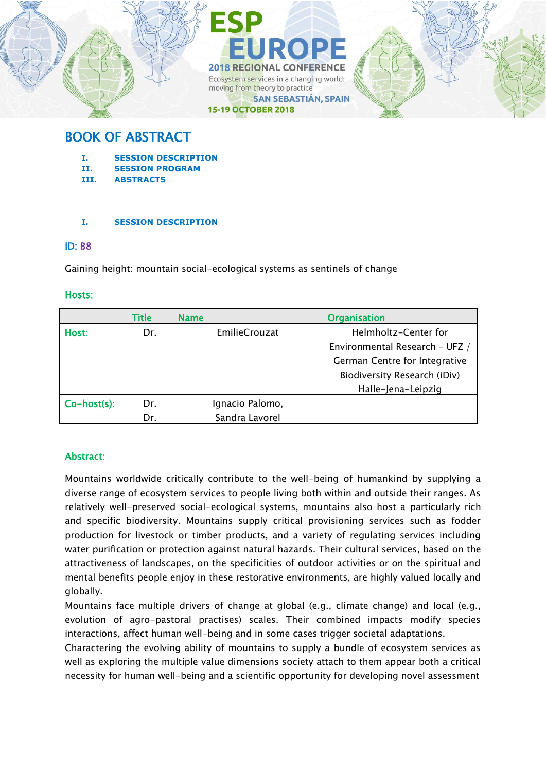

# BOOK OF ABSTRACT

- **I. SESSION DESCRIPTION**
- **II. SESSION PROGRAM**
- **III. ABSTRACTS**

# **I. SESSION DESCRIPTION**

# ID: B8

Gaining height: mountain social-ecological systems as sentinels of change

# Hosts:

|                | <b>Title</b> | <b>Name</b>          | <b>Organisation</b>            |
|----------------|--------------|----------------------|--------------------------------|
| Host:          | Dr.          | <b>EmilieCrouzat</b> | Helmholtz-Center for           |
|                |              |                      | Environmental Research - UFZ / |
|                |              |                      | German Centre for Integrative  |
|                |              |                      | Biodiversity Research (iDiv)   |
|                |              |                      | Halle-Jena-Leipzig             |
| $Co-host(s)$ : | Dr.          | Ignacio Palomo,      |                                |
|                | Dr.          | Sandra Lavorel       |                                |

# Abstract:

Mountains worldwide critically contribute to the well-being of humankind by supplying a diverse range of ecosystem services to people living both within and outside their ranges. As relatively well-preserved social-ecological systems, mountains also host a particularly rich and specific biodiversity. Mountains supply critical provisioning services such as fodder production for livestock or timber products, and a variety of regulating services including water purification or protection against natural hazards. Their cultural services, based on the attractiveness of landscapes, on the specificities of outdoor activities or on the spiritual and mental benefits people enjoy in these restorative environments, are highly valued locally and globally.

Mountains face multiple drivers of change at global (e.g., climate change) and local (e.g., evolution of agro-pastoral practises) scales. Their combined impacts modify species interactions, affect human well-being and in some cases trigger societal adaptations.

Charactering the evolving ability of mountains to supply a bundle of ecosystem services as well as exploring the multiple value dimensions society attach to them appear both a critical necessity for human well-being and a scientific opportunity for developing novel assessment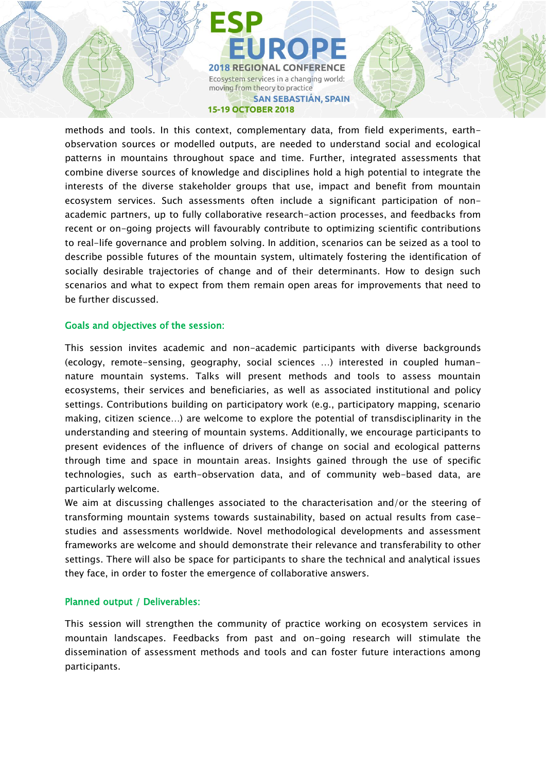**2018 REGIONAL CONFERENCE** Ecosystem services in a changing world: moving from theory to practice **SAN SEBASTIÁN, SPAIN 15-19 OCTOBER 2018** 

methods and tools. In this context, complementary data, from field experiments, earthobservation sources or modelled outputs, are needed to understand social and ecological patterns in mountains throughout space and time. Further, integrated assessments that combine diverse sources of knowledge and disciplines hold a high potential to integrate the interests of the diverse stakeholder groups that use, impact and benefit from mountain ecosystem services. Such assessments often include a significant participation of nonacademic partners, up to fully collaborative research-action processes, and feedbacks from recent or on-going projects will favourably contribute to optimizing scientific contributions to real-life governance and problem solving. In addition, scenarios can be seized as a tool to describe possible futures of the mountain system, ultimately fostering the identification of socially desirable trajectories of change and of their determinants. How to design such scenarios and what to expect from them remain open areas for improvements that need to be further discussed.

# Goals and objectives of the session:

This session invites academic and non-academic participants with diverse backgrounds (ecology, remote-sensing, geography, social sciences …) interested in coupled humannature mountain systems. Talks will present methods and tools to assess mountain ecosystems, their services and beneficiaries, as well as associated institutional and policy settings. Contributions building on participatory work (e.g., participatory mapping, scenario making, citizen science…) are welcome to explore the potential of transdisciplinarity in the understanding and steering of mountain systems. Additionally, we encourage participants to present evidences of the influence of drivers of change on social and ecological patterns through time and space in mountain areas. Insights gained through the use of specific technologies, such as earth-observation data, and of community web-based data, are particularly welcome.

We aim at discussing challenges associated to the characterisation and/or the steering of transforming mountain systems towards sustainability, based on actual results from casestudies and assessments worldwide. Novel methodological developments and assessment frameworks are welcome and should demonstrate their relevance and transferability to other settings. There will also be space for participants to share the technical and analytical issues they face, in order to foster the emergence of collaborative answers.

# Planned output / Deliverables:

This session will strengthen the community of practice working on ecosystem services in mountain landscapes. Feedbacks from past and on-going research will stimulate the dissemination of assessment methods and tools and can foster future interactions among participants.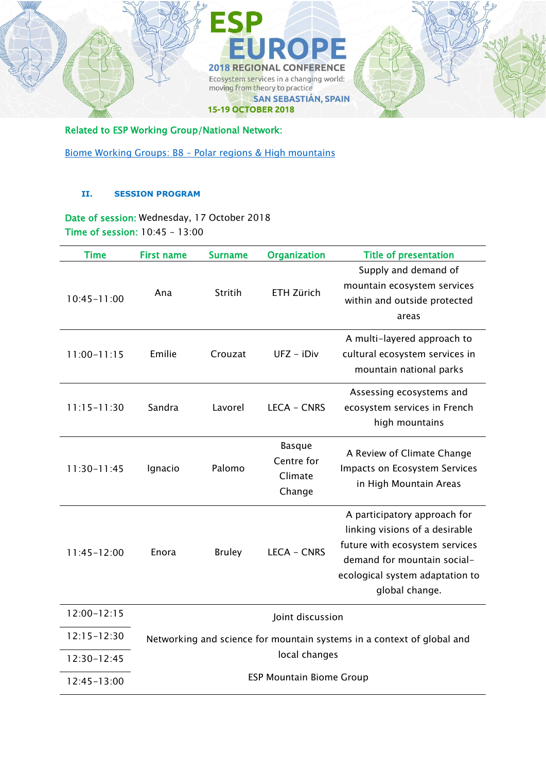

Related to ESP Working Group/National Network:

Biome Working Groups: B8 – [Polar regions & High mountains](https://www.es-partnership.org/community/workings-groups/biome-working-groups/bwg-8-polar-regions-high-mountains/)

# **II. SESSION PROGRAM**

Date of session: Wednesday, 17 October 2018 Time of session: 10:45 – 13:00

| <b>Time</b>     | <b>First name</b>                                                      | <b>Surname</b> | <b>Organization</b>                              | <b>Title of presentation</b>                                                                                                                                                         |  |
|-----------------|------------------------------------------------------------------------|----------------|--------------------------------------------------|--------------------------------------------------------------------------------------------------------------------------------------------------------------------------------------|--|
| $10:45 - 11:00$ | Ana                                                                    | Stritih        | <b>ETH Zürich</b>                                | Supply and demand of<br>mountain ecosystem services<br>within and outside protected<br>areas                                                                                         |  |
| $11:00 - 11:15$ | Emilie                                                                 | Crouzat        | UFZ - iDiv                                       | A multi-layered approach to<br>cultural ecosystem services in<br>mountain national parks                                                                                             |  |
| $11:15 - 11:30$ | Sandra                                                                 | Lavorel        | <b>LECA - CNRS</b>                               | Assessing ecosystems and<br>ecosystem services in French<br>high mountains                                                                                                           |  |
| $11:30-11:45$   | Ignacio                                                                | Palomo         | <b>Basque</b><br>Centre for<br>Climate<br>Change | A Review of Climate Change<br>Impacts on Ecosystem Services<br>in High Mountain Areas                                                                                                |  |
| $11:45 - 12:00$ | Enora                                                                  | <b>Bruley</b>  | <b>LECA - CNRS</b>                               | A participatory approach for<br>linking visions of a desirable<br>future with ecosystem services<br>demand for mountain social-<br>ecological system adaptation to<br>global change. |  |
| $12:00 - 12:15$ | Joint discussion                                                       |                |                                                  |                                                                                                                                                                                      |  |
| $12:15 - 12:30$ | Networking and science for mountain systems in a context of global and |                |                                                  |                                                                                                                                                                                      |  |
| 12:30-12:45     | local changes                                                          |                |                                                  |                                                                                                                                                                                      |  |
| $12:45 - 13:00$ | <b>ESP Mountain Biome Group</b>                                        |                |                                                  |                                                                                                                                                                                      |  |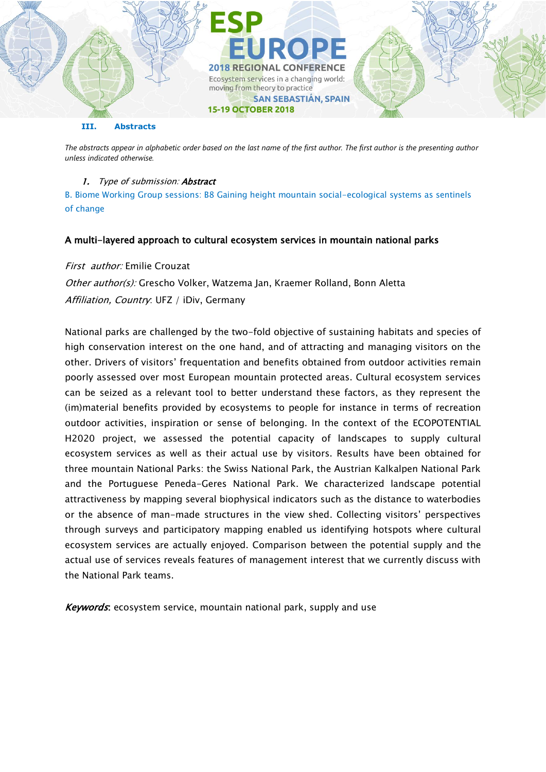

#### **III. Abstracts**

*The abstracts appear in alphabetic order based on the last name of the first author. The first author is the presenting author unless indicated otherwise.*

### 1. Type of submission: Abstract

B. Biome Working Group sessions: B8 Gaining height mountain social-ecological systems as sentinels of change

#### A multi-layered approach to cultural ecosystem services in mountain national parks

First author: Emilie Crouzat Other author(s): Grescho Volker, Watzema Jan, Kraemer Rolland, Bonn Aletta Affiliation, Country: UFZ / iDiv, Germany

National parks are challenged by the two-fold objective of sustaining habitats and species of high conservation interest on the one hand, and of attracting and managing visitors on the other. Drivers of visitors' frequentation and benefits obtained from outdoor activities remain poorly assessed over most European mountain protected areas. Cultural ecosystem services can be seized as a relevant tool to better understand these factors, as they represent the (im)material benefits provided by ecosystems to people for instance in terms of recreation outdoor activities, inspiration or sense of belonging. In the context of the ECOPOTENTIAL H2020 project, we assessed the potential capacity of landscapes to supply cultural ecosystem services as well as their actual use by visitors. Results have been obtained for three mountain National Parks: the Swiss National Park, the Austrian Kalkalpen National Park and the Portuguese Peneda-Geres National Park. We characterized landscape potential attractiveness by mapping several biophysical indicators such as the distance to waterbodies or the absence of man-made structures in the view shed. Collecting visitors' perspectives through surveys and participatory mapping enabled us identifying hotspots where cultural ecosystem services are actually enjoyed. Comparison between the potential supply and the actual use of services reveals features of management interest that we currently discuss with the National Park teams.

Keywords: ecosystem service, mountain national park, supply and use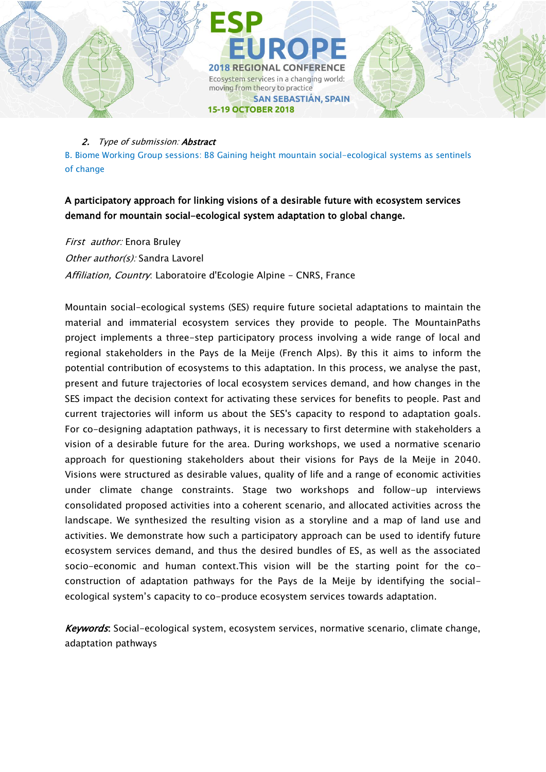

### 2. Type of submission: Abstract

B. Biome Working Group sessions: B8 Gaining height mountain social-ecological systems as sentinels of change

# A participatory approach for linking visions of a desirable future with ecosystem services demand for mountain social-ecological system adaptation to global change.

First author: Enora Bruley

Other author(s): Sandra Lavorel

Affiliation, Country. Laboratoire d'Ecologie Alpine - CNRS, France

Mountain social-ecological systems (SES) require future societal adaptations to maintain the material and immaterial ecosystem services they provide to people. The MountainPaths project implements a three-step participatory process involving a wide range of local and regional stakeholders in the Pays de la Meije (French Alps). By this it aims to inform the potential contribution of ecosystems to this adaptation. In this process, we analyse the past, present and future trajectories of local ecosystem services demand, and how changes in the SES impact the decision context for activating these services for benefits to people. Past and current trajectories will inform us about the SES's capacity to respond to adaptation goals. For co-designing adaptation pathways, it is necessary to first determine with stakeholders a vision of a desirable future for the area. During workshops, we used a normative scenario approach for questioning stakeholders about their visions for Pays de la Meije in 2040. Visions were structured as desirable values, quality of life and a range of economic activities under climate change constraints. Stage two workshops and follow-up interviews consolidated proposed activities into a coherent scenario, and allocated activities across the landscape. We synthesized the resulting vision as a storyline and a map of land use and activities. We demonstrate how such a participatory approach can be used to identify future ecosystem services demand, and thus the desired bundles of ES, as well as the associated socio-economic and human context.This vision will be the starting point for the coconstruction of adaptation pathways for the Pays de la Meije by identifying the socialecological system's capacity to co-produce ecosystem services towards adaptation.

Keywords: Social-ecological system, ecosystem services, normative scenario, climate change, adaptation pathways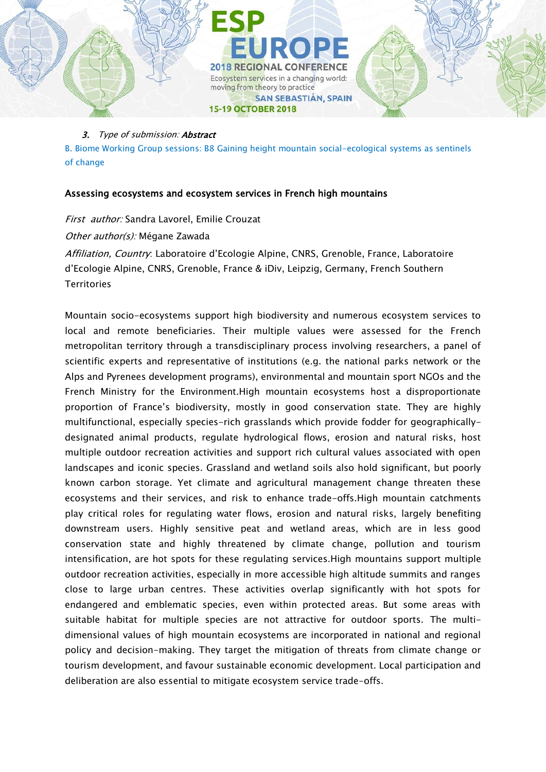

#### 3. Type of submission: Abstract

B. Biome Working Group sessions: B8 Gaining height mountain social-ecological systems as sentinels of change

# Assessing ecosystems and ecosystem services in French high mountains

First author: Sandra Lavorel, Emilie Crouzat Other author(s): Mégane Zawada Affiliation, Country: Laboratoire d'Ecologie Alpine, CNRS, Grenoble, France, Laboratoire

d'Ecologie Alpine, CNRS, Grenoble, France & iDiv, Leipzig, Germany, French Southern **Territories** 

Mountain socio-ecosystems support high biodiversity and numerous ecosystem services to local and remote beneficiaries. Their multiple values were assessed for the French metropolitan territory through a transdisciplinary process involving researchers, a panel of scientific experts and representative of institutions (e.g. the national parks network or the Alps and Pyrenees development programs), environmental and mountain sport NGOs and the French Ministry for the Environment.High mountain ecosystems host a disproportionate proportion of France's biodiversity, mostly in good conservation state. They are highly multifunctional, especially species-rich grasslands which provide fodder for geographicallydesignated animal products, regulate hydrological flows, erosion and natural risks, host multiple outdoor recreation activities and support rich cultural values associated with open landscapes and iconic species. Grassland and wetland soils also hold significant, but poorly known carbon storage. Yet climate and agricultural management change threaten these ecosystems and their services, and risk to enhance trade-offs.High mountain catchments play critical roles for regulating water flows, erosion and natural risks, largely benefiting downstream users. Highly sensitive peat and wetland areas, which are in less good conservation state and highly threatened by climate change, pollution and tourism intensification, are hot spots for these regulating services.High mountains support multiple outdoor recreation activities, especially in more accessible high altitude summits and ranges close to large urban centres. These activities overlap significantly with hot spots for endangered and emblematic species, even within protected areas. But some areas with suitable habitat for multiple species are not attractive for outdoor sports. The multidimensional values of high mountain ecosystems are incorporated in national and regional policy and decision-making. They target the mitigation of threats from climate change or tourism development, and favour sustainable economic development. Local participation and deliberation are also essential to mitigate ecosystem service trade-offs.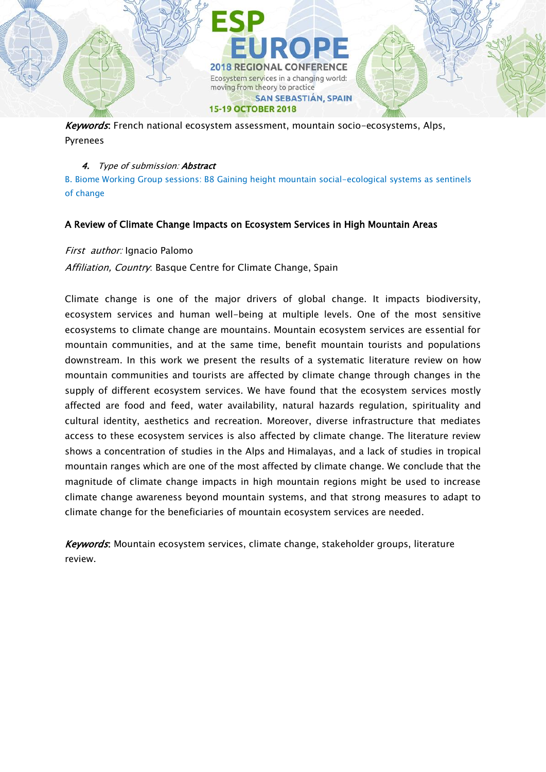Keywords: French national ecosystem assessment, mountain socio-ecosystems, Alps, Pyrenees

**15-19 OCTOBER 2018** 

moving from theory to practice

#### 4. Type of submission: Abstract

B. Biome Working Group sessions: B8 Gaining height mountain social-ecological systems as sentinels of change

**2018 REGIONAL CONFERENCE** Ecosystem services in a changing world:

**SAN SEBASTIÁN, SPAIN** 

# A Review of Climate Change Impacts on Ecosystem Services in High Mountain Areas

#### First author: Ignacio Palomo

Affiliation, Country. Basque Centre for Climate Change, Spain

Climate change is one of the major drivers of global change. It impacts biodiversity, ecosystem services and human well-being at multiple levels. One of the most sensitive ecosystems to climate change are mountains. Mountain ecosystem services are essential for mountain communities, and at the same time, benefit mountain tourists and populations downstream. In this work we present the results of a systematic literature review on how mountain communities and tourists are affected by climate change through changes in the supply of different ecosystem services. We have found that the ecosystem services mostly affected are food and feed, water availability, natural hazards regulation, spirituality and cultural identity, aesthetics and recreation. Moreover, diverse infrastructure that mediates access to these ecosystem services is also affected by climate change. The literature review shows a concentration of studies in the Alps and Himalayas, and a lack of studies in tropical mountain ranges which are one of the most affected by climate change. We conclude that the magnitude of climate change impacts in high mountain regions might be used to increase climate change awareness beyond mountain systems, and that strong measures to adapt to climate change for the beneficiaries of mountain ecosystem services are needed.

Keywords: Mountain ecosystem services, climate change, stakeholder groups, literature review.